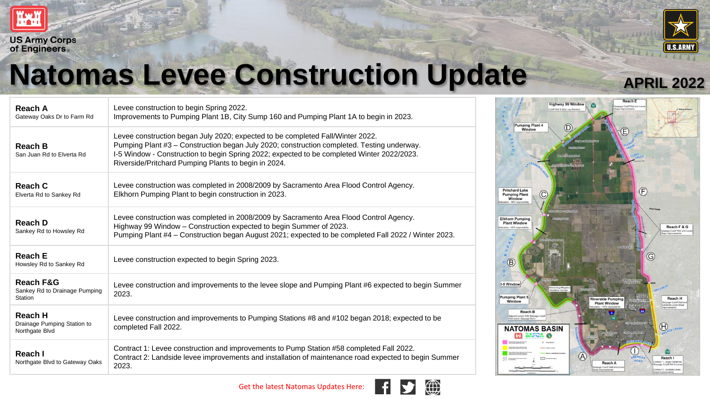



# **Natomas Levee Construction Update APRIL 2022**

Reach Highway 99 Window  $\widehat{\mathbf{m}}$ Cutoff War toff Wall & Stop Log 5 Pumping Plant 4  $\circled{D}$  $(F)$ **Pritchard Lake Pumping Plant** Window **Elkhorn Pumping Plant Window** Reach F & G age Cutoff Wall and L  $\circled{G}$ I-5 Window **Pumping Plant 5** Reach H **Riverside Pumping** Window **Plant Window** Seepage Cutoff Wall a<br>Landside Levee Stope **Reach B** even With Soop  $\bigoplus_{\alpha\in\mathsf{CREP}}$ **NATOMAS BASIN**  $\bullet$  $\hat{\mathbf{w}}$ Reach I

Reach A

tract 2: Landside I

 $\circ$   $\circ$  $\circ$ 

| Reach A<br>Gateway Oaks Dr to Farm Rd                            | Levee construction to begin Spring 2022.<br>Improvements to Pumping Plant 1B, City Sump 160 and Pumping Plant 1A to begin in 2023.                                                                                                                                                                                                 |  |
|------------------------------------------------------------------|------------------------------------------------------------------------------------------------------------------------------------------------------------------------------------------------------------------------------------------------------------------------------------------------------------------------------------|--|
| <b>Reach B</b><br>San Juan Rd to Elverta Rd                      | Levee construction began July 2020; expected to be completed Fall/Winter 2022.<br>Pumping Plant #3 - Construction began July 2020; construction completed. Testing underway.<br>I-5 Window - Construction to begin Spring 2022; expected to be completed Winter 2022/2023.<br>Riverside/Pritchard Pumping Plants to begin in 2024. |  |
| <b>Reach C</b><br>Elverta Rd to Sankey Rd                        | Levee construction was completed in 2008/2009 by Sacramento Area Flood Control Agency.<br>Elkhorn Pumping Plant to begin construction in 2023.                                                                                                                                                                                     |  |
| <b>Reach D</b><br>Sankey Rd to Howsley Rd                        | Levee construction was completed in 2008/2009 by Sacramento Area Flood Control Agency.<br>Highway 99 Window - Construction expected to begin Summer of 2023.<br>Pumping Plant #4 - Construction began August 2021; expected to be completed Fall 2022 / Winter 2023.                                                               |  |
| <b>Reach E</b><br>Howsley Rd to Sankey Rd                        | Levee construction expected to begin Spring 2023.                                                                                                                                                                                                                                                                                  |  |
| <b>Reach F&amp;G</b><br>Sankey Rd to Drainage Pumping<br>Station | Levee construction and improvements to the levee slope and Pumping Plant #6 expected to begin Summer<br>2023.                                                                                                                                                                                                                      |  |
| Reach H<br>Drainage Pumping Station to<br>Northgate Blvd         | Levee construction and improvements to Pumping Stations #8 and #102 began 2018; expected to be<br>completed Fall 2022.                                                                                                                                                                                                             |  |
| Reach I<br>Northgate Blvd to Gateway Oaks                        | Contract 1: Levee construction and improvements to Pump Station #58 completed Fall 2022.<br>Contract 2: Landside levee improvements and installation of maintenance road expected to begin Summer<br>2023.                                                                                                                         |  |

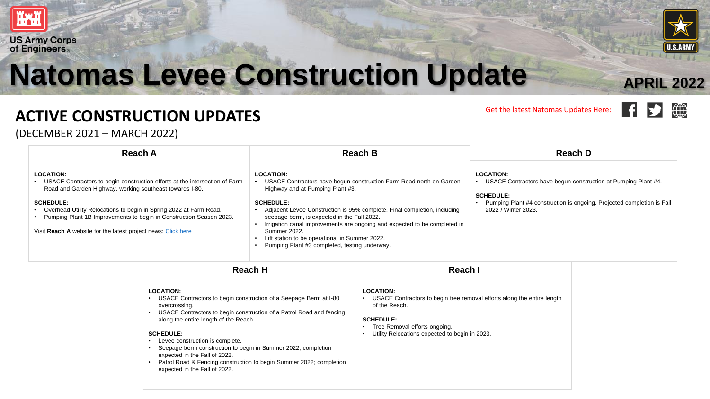



## **Natomas Levee Construction Update APRIL 2022**

#### Get the latest Natomas Updates Here: f



### **ACTIVE CONSTRUCTION UPDATES**

(DECEMBER 2021 – MARCH 2022)

| <b>Reach A</b>                                                                                                                                                                                                                                                                                                                                                                                      | <b>Reach B</b>                                                                                                                                                                                                                                                                                                                                                                                                                                                             | Reach D                                                                                                                                                                                                 |
|-----------------------------------------------------------------------------------------------------------------------------------------------------------------------------------------------------------------------------------------------------------------------------------------------------------------------------------------------------------------------------------------------------|----------------------------------------------------------------------------------------------------------------------------------------------------------------------------------------------------------------------------------------------------------------------------------------------------------------------------------------------------------------------------------------------------------------------------------------------------------------------------|---------------------------------------------------------------------------------------------------------------------------------------------------------------------------------------------------------|
| <b>LOCATION:</b><br>• USACE Contractors to begin construction efforts at the intersection of Farm<br>Road and Garden Highway, working southeast towards I-80.<br><b>SCHEDULE:</b><br>• Overhead Utility Relocations to begin in Spring 2022 at Farm Road.<br>• Pumping Plant 1B Improvements to begin in Construction Season 2023.<br>Visit Reach A website for the latest project news. Click here | <b>LOCATION:</b><br>USACE Contractors have begun construction Farm Road north on Garden<br>Highway and at Pumping Plant #3.<br><b>SCHEDULE:</b><br>Adjacent Levee Construction is 95% complete. Final completion, including<br>seepage berm, is expected in the Fall 2022.<br>Irrigation canal improvements are ongoing and expected to be completed in<br>Summer 2022.<br>Lift station to be operational in Summer 2022.<br>Pumping Plant #3 completed, testing underway. | <b>LOCATION:</b><br>USACE Contractors have begun construction at Pumping Plant #4.<br><b>SCHEDULE:</b><br>Pumping Plant #4 construction is ongoing. Projected completion is Fall<br>2022 / Winter 2023. |

| Reach I                                                                                                                                                                                                                            |
|------------------------------------------------------------------------------------------------------------------------------------------------------------------------------------------------------------------------------------|
| <b>LOCATION:</b><br>USACE Contractors to begin tree removal efforts along the entire length<br>٠<br>of the Reach.<br><b>SCHEDULE:</b><br>Tree Removal efforts ongoing.<br>٠<br>Utility Relocations expected to begin in 2023.<br>٠ |
|                                                                                                                                                                                                                                    |